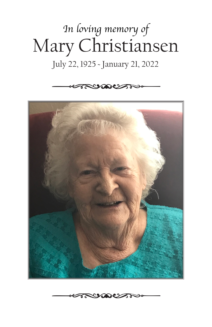# *In loving memory of* Mary Christiansen

### July 22, 1925 ~ January 21, 2022





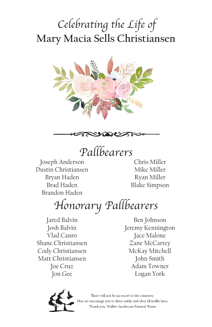## **Mary Macia Sells Christiansen** *Celebrating the Life of*





*Pallbearers*

Joseph Anderson Dustin Christiansen Bryan Haden Brad Haden Brandon Haden

Chris Miller Mike Miller Ryan Miller Blake Simpson

*Honorary Pallbearers*

Jared Balvin Josh Balvin Vlad Canro Shane Christiansen Cody Christiansen Matt Christiansen Joe Cruz Jon Gee

Ben Johnson Jeremy Kennington Jace Malone Zane McCarrey McKay Mitchell John Smith Adam Towner Logan York



There will not be an escort to the cemetery. we encourage you to drive safely and obey all traffic laws. Thank you, Walker Sanderson Funeral Home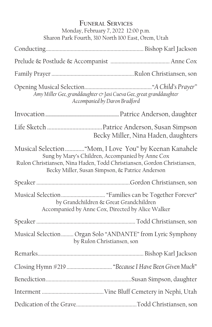| <b>FUNERAL SERVICES</b><br>Monday, February 7, 2022 12:00 p.m.<br>Sharon Park Fourth, 310 North 100 East, Orem, Utah                                                                                                                      |                                                                                             |
|-------------------------------------------------------------------------------------------------------------------------------------------------------------------------------------------------------------------------------------------|---------------------------------------------------------------------------------------------|
|                                                                                                                                                                                                                                           |                                                                                             |
|                                                                                                                                                                                                                                           |                                                                                             |
|                                                                                                                                                                                                                                           |                                                                                             |
| Amy Miller Gee, granddaughter & Jasi Cueva Gee, great granddaughter<br>Accompanied by Daron Bradford                                                                                                                                      |                                                                                             |
|                                                                                                                                                                                                                                           |                                                                                             |
|                                                                                                                                                                                                                                           | Becky Miller, Nina Haden, daughters                                                         |
| Musical Selection  "Mom, I Love You" by Keenan Kanahele<br>Sung by Mary's Children, Accompanied by Anne Cox<br>Rulon Christiansen, Nina Haden, Todd Christiansen, Gordon Christiansen,<br>Becky Miller, Susan Simpson, & Patrice Anderson |                                                                                             |
|                                                                                                                                                                                                                                           |                                                                                             |
|                                                                                                                                                                                                                                           | by Grandchildren & Great Grandchildren<br>Accompanied by Anne Cox, Directed by Alice Walker |
|                                                                                                                                                                                                                                           |                                                                                             |
|                                                                                                                                                                                                                                           | Musical Selection  Organ Solo "ANDANTE" from Lyric Symphony<br>by Rulon Christiansen, son   |
|                                                                                                                                                                                                                                           |                                                                                             |
|                                                                                                                                                                                                                                           | Closing Hymn #219  "Because I Have Been Given Much"                                         |
|                                                                                                                                                                                                                                           |                                                                                             |
|                                                                                                                                                                                                                                           |                                                                                             |
|                                                                                                                                                                                                                                           |                                                                                             |